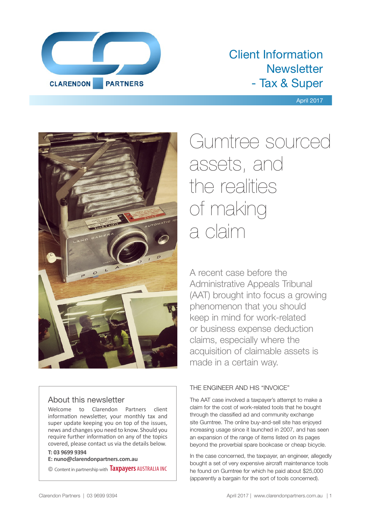

## Client Information **Newsletter** - Tax & Super

#### April 2017



## About this newsletter

Welcome to Clarendon Partners client information newsletter, your monthly tax and super update keeping you on top of the issues, news and changes you need to know. Should you require further information on any of the topics covered, please contact us via the details below.

#### **T: 03 9699 9394**

**E: nuno@clarendonpartners.com.au**

© Content in partnership with **Taxpayers** AUSTRALIA INC

# Gumtree sourced assets, and the realities of making a claim

A recent case before the Administrative Appeals Tribunal (AAT) brought into focus a growing phenomenon that you should keep in mind for work-related or business expense deduction claims, especially where the acquisition of claimable assets is made in a certain way.

### THE ENGINEER AND HIS "INVOICE"

The AAT case involved a taxpayer's attempt to make a claim for the cost of work-related tools that he bought through the classified ad and community exchange site Gumtree. The online buy-and-sell site has enjoyed increasing usage since it launched in 2007, and has seen an expansion of the range of items listed on its pages beyond the proverbial spare bookcase or cheap bicycle.

In the case concerned, the taxpayer, an engineer, allegedly bought a set of very expensive aircraft maintenance tools he found on Gumtree for which he paid about \$25,000 (apparently a bargain for the sort of tools concerned).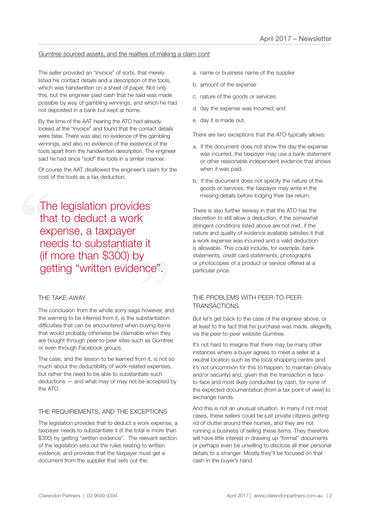#### Gumtree sourced assets, and the realities of making a claim *cont*

The seller provided an "invoice" of sorts, that merely listed his contact details and a description of the tools, which was handwritten on a sheet of paper. Not only this, but the engineer paid cash that he said was made possible by way of gambling winnings, and which he had not deposited in a bank but kept at home.

By the time of the AAT hearing the ATO had already looked at the "invoice" and found that the contact details were false. There was also no evidence of the gambling winnings, and also no evidence of the existence of the tools apart from the handwritten description. The engineer said he had since "sold" the tools in a similar manner.

Of course the AAT disallowed the engineer's claim for the cost of the tools as a tax deduction.

The<br>tha<br>exp<br>nee<br>(if r <sup>)</sup> it<br>y<br>nce". The legislation provides that to deduct a work expense, a taxpayer needs to substantiate it (if more than \$300) by getting "written evidence".

#### THE TAKE-AWAY

The conclusion from the whole sorry saga however, and the warning to be inferred from it, is the substantiation difficulties that can be encountered when buying items that would probably otherwise be claimable when they are bought through peer-to-peer sites such as Gumtree or even through Facebook groups.

The case, and the lesson to be learned from it, is not so much about the deductibility of work-related expenses, but rather the need to be able to substantiate such deductions — and what may or may not be accepted by the ATO.

#### THE REQUIREMENTS, AND THE EXCEPTIONS

The legislation provides that to deduct a work expense, a taxpayer needs to substantiate it (if the total is more than \$300) by getting "written evidence". The relevant section of the legislation sets out the rules relating to written evidence, and provides that the taxpayer must get a document from the supplier that sets out the:

- a. name or business name of the supplier
- b. amount of the expense
- c. nature of the goods or services
- d. day the expense was incurred; and
- e. day it is made out.

There are two exceptions that the ATO typically allows:

- a. If the document does not show the day the expense was incurred, the taxpayer may use a bank statement or other reasonable independent evidence that shows when it was paid.
- b. If the document does not specify the nature of the goods or services, the taxpayer may write in the missing details before lodging their tax return.

There is also further leeway in that the ATO has the discretion to still allow a deduction, if the somewhat stringent conditions listed above are not met, if the nature and quality of evidence available satisfies it that a work expense was incurred and a valid deduction is allowable. This could include, for example, bank statements, credit card statements, photographs or photocopies of a product or service offered at a particular price.

#### THE PROBLEMS WITH PEER-TO-PEER **TRANSACTIONS**

But let's get back to the case of the engineer above, or at least to the fact that his purchase was made, allegedly, via the peer-to-peer website Gumtree.

It's not hard to imagine that there may be many other instances where a buyer agrees to meet a seller at a neutral location such as the local shopping centre (and it's not uncommon for this to happen, to maintain privacy and/or security) and, given that the transaction is faceto-face and most likely conducted by cash, for none of the expected documentation (from a tax point of view) to exchange hands.

And this is not an unusual situation. In many if not most cases, these sellers could be just private citizens getting rid of clutter around their homes, and they are not running a business of selling these items. They therefore will have little interest in drawing up "formal" documents or perhaps even be unwilling to disclose all their personal details to a stranger. Mostly they'll be focused on that cash in the buyer's hand.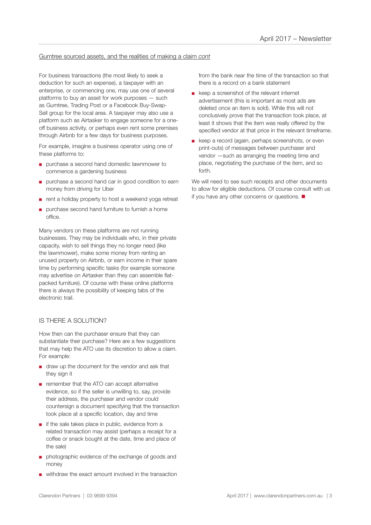#### Gumtree sourced assets, and the realities of making a claim *cont*

For business transactions (the most likely to seek a deduction for such an expense), a taxpayer with an enterprise, or commencing one, may use one of several platforms to buy an asset for work purposes — such as Gumtree, Trading Post or a Facebook Buy-Swap-Sell group for the local area. A taxpayer may also use a platform such as Airtasker to engage someone for a oneoff business activity, or perhaps even rent some premises through Airbnb for a few days for business purposes.

For example, imagine a business operator using one of these platforms to:

- purchase a second hand domestic lawnmower to commence a gardening business
- purchase a second hand car in good condition to earn money from driving for Uber
- rent a holiday property to host a weekend yoga retreat
- purchase second hand furniture to furnish a home office.

Many vendors on these platforms are not running businesses. They may be individuals who, in their private capacity, wish to sell things they no longer need (like the lawnmower), make some money from renting an unused property on Airbnb, or earn income in their spare time by performing specific tasks (for example someone may advertise on Airtasker than they can assemble flatpacked furniture). Of course with these online platforms there is always the possibility of keeping tabs of the electronic trail.

#### IS THERE A SOLUTION?

How then can the purchaser ensure that they can substantiate their purchase? Here are a few suggestions that may help the ATO use its discretion to allow a claim. For example:

- draw up the document for the vendor and ask that they sign it
- remember that the ATO can accept alternative evidence, so if the seller is unwilling to, say, provide their address, the purchaser and vendor could countersign a document specifying that the transaction took place at a specific location, day and time
- if the sale takes place in public, evidence from a related transaction may assist (perhaps a receipt for a coffee or snack bought at the date, time and place of the sale)
- photographic evidence of the exchange of goods and money
- withdraw the exact amount involved in the transaction

from the bank near the time of the transaction so that there is a record on a bank statement

- keep a screenshot of the relevant internet advertisement (this is important as most ads are deleted once an item is sold). While this will not conclusively prove that the transaction took place, at least it shows that the item was really offered by the specified vendor at that price in the relevant timeframe.
- keep a record (again, perhaps screenshots, or even print-outs) of messages between purchaser and vendor —such as arranging the meeting time and place, negotiating the purchase of the item, and so forth.

We will need to see such receipts and other documents to allow for eligible deductions. Of course consult with us if you have any other concerns or questions.  $\blacksquare$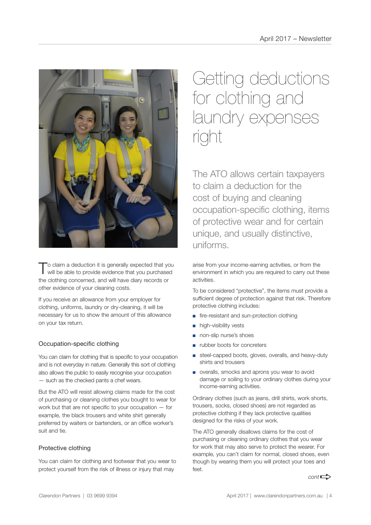

To claim a deduction it is generally expected that you will be able to provide evidence that you purchased the clothing concerned, and will have diary records or other evidence of your cleaning costs.

If you receive an allowance from your employer for clothing, uniforms, laundry or dry-cleaning, it will be necessary for us to show the amount of this allowance on your tax return.

#### Occupation-specific clothing

You can claim for clothing that is specific to your occupation and is not everyday in nature. Generally this sort of clothing also allows the public to easily recognise your occupation — such as the checked pants a chef wears.

But the ATO will resist allowing claims made for the cost of purchasing or cleaning clothes you bought to wear for work but that are not specific to your occupation — for example, the black trousers and white shirt generally preferred by waiters or bartenders, or an office worker's suit and tie.

#### Protective clothing

You can claim for clothing and footwear that you wear to protect yourself from the risk of illness or injury that may

## Getting deductions for clothing and laundry expenses right

The ATO allows certain taxpayers to claim a deduction for the cost of buying and cleaning occupation-specific clothing, items of protective wear and for certain unique, and usually distinctive, uniforms.

arise from your income-earning activities, or from the environment in which you are required to carry out these activities.

To be considered "protective", the items must provide a sufficient degree of protection against that risk. Therefore protective clothing includes:

- fire-resistant and sun-protection clothing
- high-visibility vests
- non-slip nurse's shoes
- rubber boots for concreters
- steel-capped boots, gloves, overalls, and heavy-duty shirts and trousers
- overalls, smocks and aprons you wear to avoid damage or soiling to your ordinary clothes during your income-earning activities.

Ordinary clothes (such as jeans, drill shirts, work shorts, trousers, socks, closed shoes) are not regarded as protective clothing if they lack protective qualities designed for the risks of your work.

The ATO generally disallows claims for the cost of purchasing or cleaning ordinary clothes that you wear for work that may also serve to protect the wearer. For example, you can't claim for normal, closed shoes, even though by wearing them you will protect your toes and  $f \circ f$ 

 $cont \rightarrow$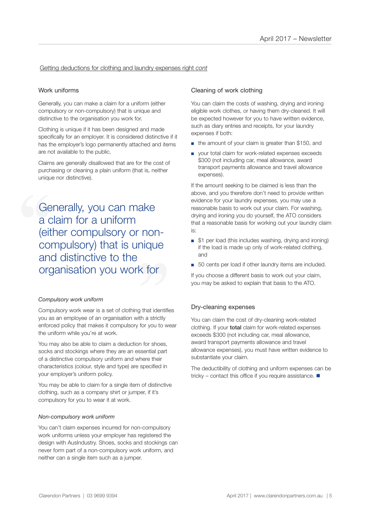#### Getting deductions for clothing and laundry expenses right *cont*

#### Work uniforms

Generally, you can make a claim for a uniform (either compulsory or non-compulsory) that is unique and distinctive to the organisation you work for.

Clothing is unique if it has been designed and made specifically for an employer. It is considered distinctive if it has the employer's logo permanently attached and items are not available to the public.

Claims are generally disallowed that are for the cost of purchasing or cleaning a plain uniform (that is, neither unique nor distinctive).

**Compulsory) that is unique<br>
and distinctive to the<br>
organisation you work for** Generally, you can make<br>a claim for a uniform<br>(either compulsory or nor<br>compulsory) that is uniqu<br>and distinctive to the a claim for a uniform (either compulsory or nonand distinctive to the organisation you work for

#### *Compulsory work uniform*

Compulsory work wear is a set of clothing that identifies you as an employee of an organisation with a strictly enforced policy that makes it compulsory for you to wear the uniform while you're at work.

You may also be able to claim a deduction for shoes, socks and stockings where they are an essential part of a distinctive compulsory uniform and where their characteristics (colour, style and type) are specified in your employer's uniform policy.

You may be able to claim for a single item of distinctive clothing, such as a company shirt or jumper, if it's compulsory for you to wear it at work.

#### *Non-compulsory work uniform*

You can't claim expenses incurred for non-compulsory work uniforms unless your employer has registered the design with AusIndustry. Shoes, socks and stockings can never form part of a non-compulsory work uniform, and neither can a single item such as a jumper.

#### Cleaning of work clothing

You can claim the costs of washing, drying and ironing eligible work clothes, or having them dry-cleaned. It will be expected however for you to have written evidence, such as diary entries and receipts, for your laundry expenses if both:

- the amount of your claim is greater than \$150, and
- your total claim for work-related expenses exceeds \$300 (not including car, meal allowance, award transport payments allowance and travel allowance expenses).

If the amount seeking to be claimed is less than the above, and you therefore don't need to provide written evidence for your laundry expenses, you may use a reasonable basis to work out your claim. For washing, drying and ironing you do yourself, the ATO considers that a reasonable basis for working out your laundry claim is:

- \$1 per load (this includes washing, drying and ironing) if the load is made up only of work-related clothing, and
- 50 cents per load if other laundry items are included.

If you choose a different basis to work out your claim, you may be asked to explain that basis to the ATO.

#### Dry-cleaning expenses

You can claim the cost of dry-cleaning work-related clothing. If your total claim for work-related expenses exceeds \$300 (not including car, meal allowance, award transport payments allowance and travel allowance expenses), you must have written evidence to substantiate your claim.

The deductibility of clothing and uniform expenses can be tricky – contact this office if you require assistance.  $\blacksquare$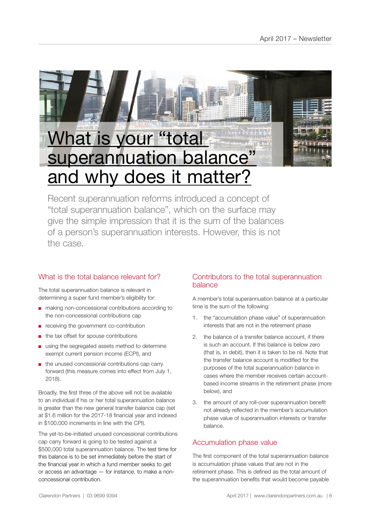

Recent superannuation reforms introduced a concept of "total superannuation balance", which on the surface may give the simple impression that it is the sum of the balances of a person's superannuation interests. However, this is not the case.

## What is the total balance relevant for?

The total superannuation balance is relevant in determining a super fund member's eligibility for:

- making non-concessional contributions according to the non-concessional contributions cap
- receiving the government co-contribution
- the tax offset for spouse contributions
- using the segregated assets method to determine exempt current pension income (ECPI), and
- the unused concessional contributions cap carry forward (this measure comes into effect from July 1, 2018).

Broadly, the first three of the above will not be available to an individual if his or her total superannuation balance is greater than the new general transfer balance cap (set at \$1.6 million for the 2017-18 financial year and indexed in \$100,000 increments in line with the CPI).

The yet-to-be-initiated unused concessional contributions cap carry forward is going to be tested against a \$500,000 total superannuation balance. The test time for this balance is to be set immediately before the start of the financial year in which a fund member seeks to get or access an advantage — for instance, to make a nonconcessional contribution.

## Contributors to the total superannuation balance

A member's total superannuation balance at a particular time is the sum of the following:

- 1. the "accumulation phase value" of superannuation interests that are not in the retirement phase
- 2. the balance of a transfer balance account, if there is such an account. If this balance is below zero (that is, in debit), then it is taken to be nil. Note that the transfer balance account is modified for the purposes of the total superannuation balance in cases where the member receives certain accountbased income streams in the retirement phase (more below), and
- 3. the amount of any roll-over superannuation benefit not already reflected in the member's accumulation phase value of superannuation interests or transfer balance.

## Accumulation phase value

The first component of the total superannuation balance is accumulation phase values that are not in the retirement phase. This is defined as the total amount of the superannuation benefits that would become payable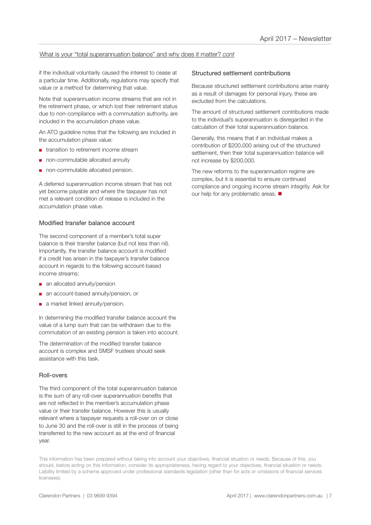#### What is your "total superannuation balance" and why does it matter? *cont*

if the individual voluntarily caused the interest to cease at a particular time. Additionally, regulations may specify that value or a method for determining that value.

Note that superannuation income streams that are not in the retirement phase, or which lost their retirement status due to non-compliance with a commutation authority, are included in the accumulation phase value.

An ATO guideline notes that the following are included in the accumulation phase value:

- transition to retirement income stream
- non-commutable allocated annuity
- non-commutable allocated pension.

A deferred superannuation income stream that has not yet become payable and where the taxpayer has not met a relevant condition of release is included in the accumulation phase value.

#### Modified transfer balance account

The second component of a member's total super balance is their transfer balance (but not less than nil). Importantly, the transfer balance account is modified if a credit has arisen in the taxpayer's transfer balance account in regards to the following account-based income streams:

- an allocated annuity/pension
- an account-based annuity/pension, or
- a market linked annuity/pension.

In determining the modified transfer balance account the value of a lump sum that can be withdrawn due to the commutation of an existing pension is taken into account.

The determination of the modified transfer balance account is complex and SMSF trustees should seek assistance with this task.

#### Roll-overs

The third component of the total superannuation balance is the sum of any roll-over superannuation benefits that are not reflected in the member's accumulation phase value or their transfer balance. However this is usually relevant where a taxpayer requests a roll-over on or close to June 30 and the roll-over is still in the process of being transferred to the new account as at the end of financial year.

#### Structured settlement contributions

Because structured settlement contributions arise mainly as a result of damages for personal injury, these are excluded from the calculations.

The amount of structured settlement contributions made to the individual's superannuation is disregarded in the calculation of their total superannuation balance.

Generally, this means that if an individual makes a contribution of \$200,000 arising out of the structured settlement, then their total superannuation balance will not increase by \$200,000.

The new reforms to the superannuation regime are complex, but it is essential to ensure continued compliance and ongoing income stream integrity. Ask for our help for any problematic areas.  $\blacksquare$ 

This information has been prepared without taking into account your objectives, financial situation or needs. Because of this, you should, before acting on this information, consider its appropriateness, having regard to your objectives, financial situation or needs. Liability limited by a scheme approved under professional standards legislation (other than for acts or omissions of financial services licensees).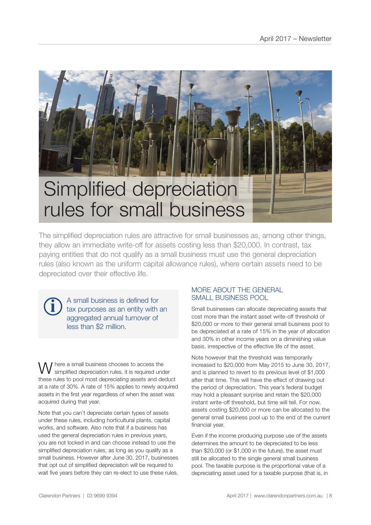

The simplified depreciation rules are attractive for small businesses as, among other things, they allow an immediate write-off for assets costing less than \$20,000. In contrast, tax paying entities that do not qualify as a small business must use the general depreciation rules (also known as the uniform capital allowance rules), where certain assets need to be depreciated over their effective life.

A small business is defined for tax purposes as an entity with an aggregated annual turnover of less than \$2 million.

**i**

Where a small business chooses to access the simplified depreciation rules, it is required under these rules to pool most depreciating assets and deduct at a rate of 30%. A rate of 15% applies to newly acquired assets in the first year regardless of when the asset was acquired during that year.

Note that you can't depreciate certain types of assets under these rules, including horticultural plants, capital works, and software. Also note that if a business has used the general depreciation rules in previous years, you are not locked in and can choose instead to use the simplified depreciation rules, as long as you qualify as a small business. However after June 30, 2017, businesses that opt out of simplified depreciation will be required to wait five years before they can re-elect to use these rules.

#### MORE ABOUT THE GENERAL SMALL BUSINESS POOL

Small businesses can allocate depreciating assets that cost more than the instant asset write-off threshold of \$20,000 or more to their general small business pool to be depreciated at a rate of 15% in the year of allocation and 30% in other income years on a diminishing value basis, irrespective of the effective life of the asset.

Note however that the threshold was temporarily increased to \$20,000 from May 2015 to June 30, 2017, and is planned to revert to its previous level of \$1,000 after that time. This will have the effect of drawing out the period of depreciation. This year's federal budget may hold a pleasant surprise and retain the \$20,000 instant write-off threshold, but time will tell. For now, assets costing \$20,000 or more can be allocated to the general small business pool up to the end of the current financial year.

Even if the income producing purpose use of the assets determines the amount to be depreciated to be less than \$20,000 (or \$1,000 in the future), the asset must still be allocated to the single general small business pool. The taxable purpose is the proportional value of a depreciating asset used for a taxable purpose (that is, in